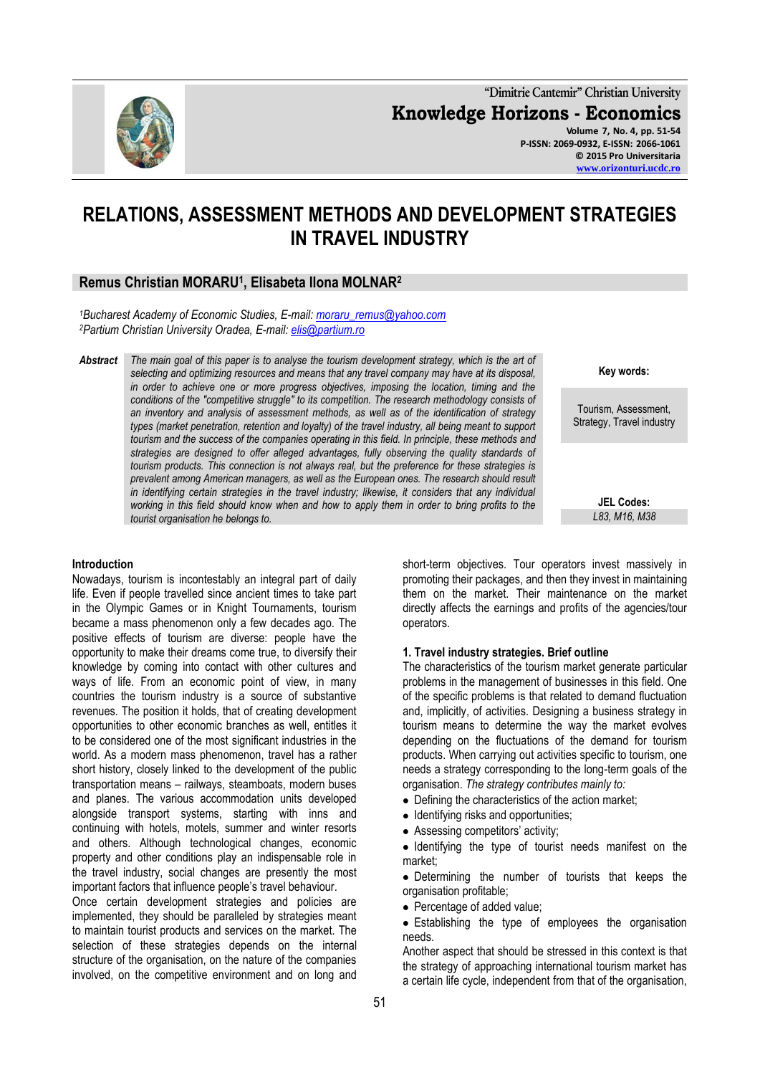

**"Dimitrie Cantemir" Christian University Knowledge Horizons - Economics Volume 7, No. 4, pp. 51-54 P-ISSN: 2069-0932, E-ISSN: 2066-1061 © 2015 Pro Universitaria [www.orizonturi.ucdc.ro](http://www.orizonturi.ucdc.ro/)**

**RELATIONS, ASSESSMENT METHODS AND DEVELOPMENT STRATEGIES IN TRAVEL INDUSTRY**

# **Remus Christian MORARU<sup>1</sup> , Elisabeta Ilona MOLNAR<sup>2</sup>**

*<sup>1</sup>Bucharest Academy of Economic Studies, E-mail: [moraru\\_remus@yahoo.com](mailto:moraru_remus@yahoo.com) <sup>2</sup>Partium Christian University Oradea, E-mail: [elis@partium.ro](mailto:elis@partium.ro)*

*Abstract The main goal of this paper is to analyse the tourism development strategy, which is the art of selecting and optimizing resources and means that any travel company may have at its disposal, in order to achieve one or more progress objectives, imposing the location, timing and the conditions of the "competitive struggle" to its competition. The research methodology consists of an inventory and analysis of assessment methods, as well as of the identification of strategy types (market penetration, retention and loyalty) of the travel industry, all being meant to support tourism and the success of the companies operating in this field. In principle, these methods and strategies are designed to offer alleged advantages, fully observing the quality standards of tourism products. This connection is not always real, but the preference for these strategies is prevalent among American managers, as well as the European ones. The research should result in identifying certain strategies in the travel industry; likewise, it considers that any individual working in this field should know when and how to apply them in order to bring profits to the tourist organisation he belongs to.*

#### **Introduction**

Nowadays, tourism is incontestably an integral part of daily life. Even if people travelled since ancient times to take part in the Olympic Games or in Knight Tournaments, tourism became a mass phenomenon only a few decades ago. The positive effects of tourism are diverse: people have the opportunity to make their dreams come true, to diversify their knowledge by coming into contact with other cultures and ways of life. From an economic point of view, in many countries the tourism industry is a source of substantive revenues. The position it holds, that of creating development opportunities to other economic branches as well, entitles it to be considered one of the most significant industries in the world. As a modern mass phenomenon, travel has a rather short history, closely linked to the development of the public transportation means – railways, steamboats, modern buses and planes. The various accommodation units developed alongside transport systems, starting with inns and continuing with hotels, motels, summer and winter resorts and others. Although technological changes, economic property and other conditions play an indispensable role in the travel industry, social changes are presently the most important factors that influence people's travel behaviour.

Once certain development strategies and policies are implemented, they should be paralleled by strategies meant to maintain tourist products and services on the market. The selection of these strategies depends on the internal structure of the organisation, on the nature of the companies involved, on the competitive environment and on long and

short-term objectives. Tour operators invest massively in promoting their packages, and then they invest in maintaining them on the market. Their maintenance on the market directly affects the earnings and profits of the agencies/tour operators.

**Key words:**

Tourism, Assessment, Strategy, Travel industry

> **JEL Codes:** *L83, M16, M38*

#### **1. Travel industry strategies. Brief outline**

The characteristics of the tourism market generate particular problems in the management of businesses in this field. One of the specific problems is that related to demand fluctuation and, implicitly, of activities. Designing a business strategy in tourism means to determine the way the market evolves depending on the fluctuations of the demand for tourism products. When carrying out activities specific to tourism, one needs a strategy corresponding to the long-term goals of the organisation. *The strategy contributes mainly to:*

- Defining the characteristics of the action market;
- Identifying risks and opportunities;
- Assessing competitors' activity;

 $\bullet$  Identifying the type of tourist needs manifest on the market;

Determining the number of tourists that keeps the organisation profitable;

• Percentage of added value;

Establishing the type of employees the organisation needs.

Another aspect that should be stressed in this context is that the strategy of approaching international tourism market has a certain life cycle, independent from that of the organisation,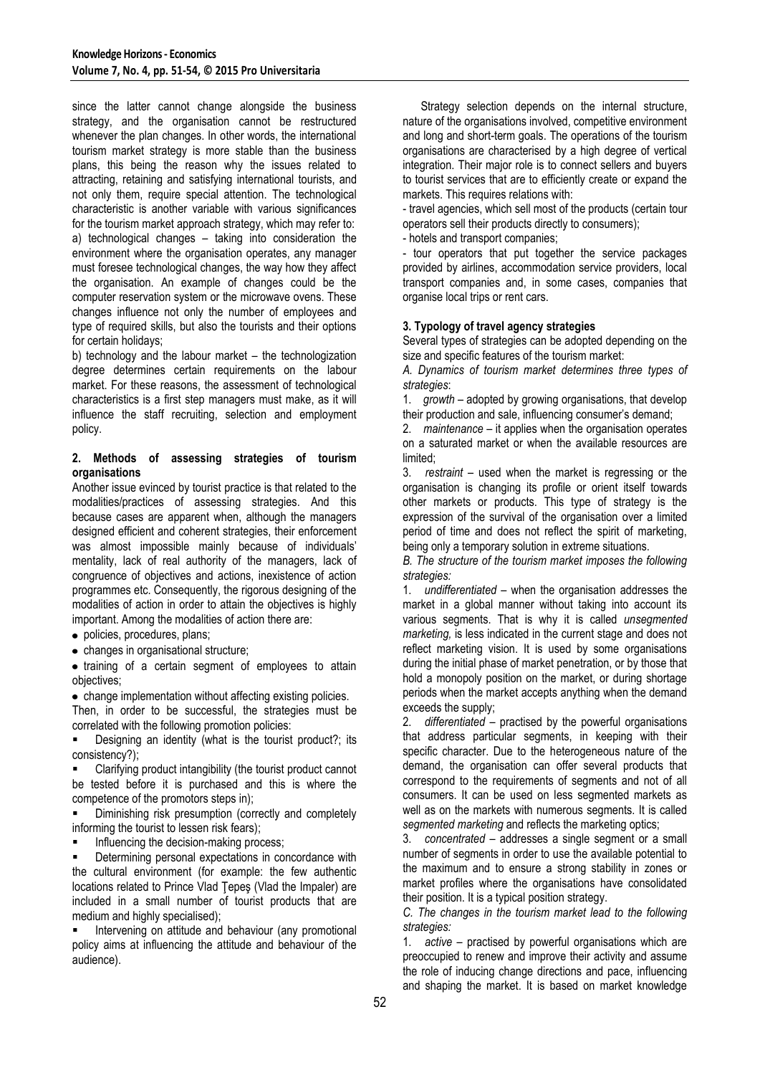since the latter cannot change alongside the business strategy, and the organisation cannot be restructured whenever the plan changes. In other words, the international tourism market strategy is more stable than the business plans, this being the reason why the issues related to attracting, retaining and satisfying international tourists, and not only them, require special attention. The technological characteristic is another variable with various significances for the tourism market approach strategy, which may refer to: a) technological changes – taking into consideration the environment where the organisation operates, any manager must foresee technological changes, the way how they affect the organisation. An example of changes could be the computer reservation system or the microwave ovens. These changes influence not only the number of employees and type of required skills, but also the tourists and their options for certain holidays;

b) technology and the labour market – the technologization degree determines certain requirements on the labour market. For these reasons, the assessment of technological characteristics is a first step managers must make, as it will influence the staff recruiting, selection and employment policy.

## **2. Methods of assessing strategies of tourism organisations**

Another issue evinced by tourist practice is that related to the modalities/practices of assessing strategies. And this because cases are apparent when, although the managers designed efficient and coherent strategies, their enforcement was almost impossible mainly because of individuals' mentality, lack of real authority of the managers, lack of congruence of objectives and actions, inexistence of action programmes etc. Consequently, the rigorous designing of the modalities of action in order to attain the objectives is highly important. Among the modalities of action there are:

- policies, procedures, plans;
- changes in organisational structure;

• training of a certain segment of employees to attain objectives;

change implementation without affecting existing policies.

Then, in order to be successful, the strategies must be correlated with the following promotion policies:

 Designing an identity (what is the tourist product?; its consistency?);

 Clarifying product intangibility (the tourist product cannot be tested before it is purchased and this is where the competence of the promotors steps in);

 Diminishing risk presumption (correctly and completely informing the tourist to lessen risk fears);

Influencing the decision-making process;

 Determining personal expectations in concordance with the cultural environment (for example: the few authentic locations related to Prince Vlad Ţepeş (Vlad the Impaler) are included in a small number of tourist products that are medium and highly specialised);

 Intervening on attitude and behaviour (any promotional policy aims at influencing the attitude and behaviour of the audience).

Strategy selection depends on the internal structure, nature of the organisations involved, competitive environment and long and short-term goals. The operations of the tourism organisations are characterised by a high degree of vertical integration. Their major role is to connect sellers and buyers to tourist services that are to efficiently create or expand the markets. This requires relations with:

- travel agencies, which sell most of the products (certain tour operators sell their products directly to consumers);

- hotels and transport companies;

- tour operators that put together the service packages provided by airlines, accommodation service providers, local transport companies and, in some cases, companies that organise local trips or rent cars.

## **3. Typology of travel agency strategies**

Several types of strategies can be adopted depending on the size and specific features of the tourism market:

*A. Dynamics of tourism market determines three types of strategies*:

1. *growth* – adopted by growing organisations, that develop their production and sale, influencing consumer's demand;

2. *maintenance* – it applies when the organisation operates on a saturated market or when the available resources are limited;

3. *restraint* – used when the market is regressing or the organisation is changing its profile or orient itself towards other markets or products. This type of strategy is the expression of the survival of the organisation over a limited period of time and does not reflect the spirit of marketing, being only a temporary solution in extreme situations.

*B. The structure of the tourism market imposes the following strategies:*

1. *undifferentiated* – when the organisation addresses the market in a global manner without taking into account its various segments. That is why it is called *unsegmented marketing, is less indicated in the current stage and does not* reflect marketing vision. It is used by some organisations during the initial phase of market penetration, or by those that hold a monopoly position on the market, or during shortage periods when the market accepts anything when the demand exceeds the supply;

2. *differentiated* – practised by the powerful organisations that address particular segments, in keeping with their specific character. Due to the heterogeneous nature of the demand, the organisation can offer several products that correspond to the requirements of segments and not of all consumers. It can be used on less segmented markets as well as on the markets with numerous segments. It is called *segmented marketing* and reflects the marketing optics;

3. *concentrated* – addresses a single segment or a small number of segments in order to use the available potential to the maximum and to ensure a strong stability in zones or market profiles where the organisations have consolidated their position. It is a typical position strategy.

*C. The changes in the tourism market lead to the following strategies:*

1. *active* – practised by powerful organisations which are preoccupied to renew and improve their activity and assume the role of inducing change directions and pace, influencing and shaping the market. It is based on market knowledge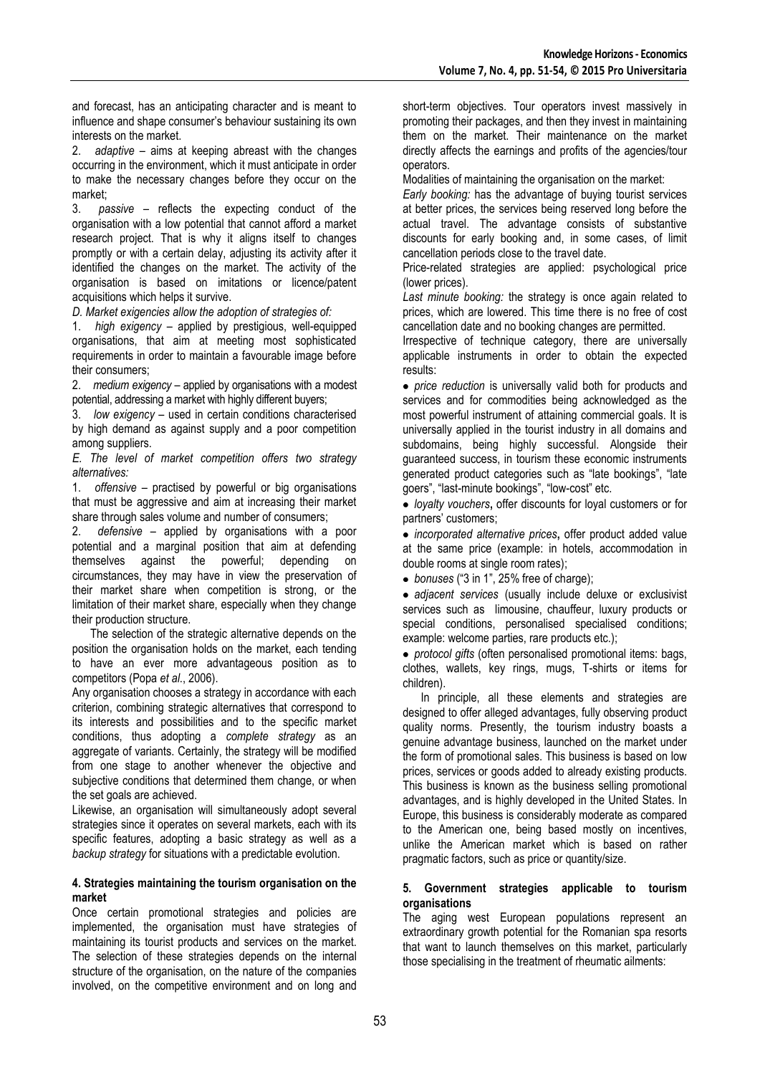and forecast, has an anticipating character and is meant to influence and shape consumer's behaviour sustaining its own interests on the market.

2. *adaptive –* aims at keeping abreast with the changes occurring in the environment, which it must anticipate in order to make the necessary changes before they occur on the market;

3. *passive* – reflects the expecting conduct of the organisation with a low potential that cannot afford a market research project. That is why it aligns itself to changes promptly or with a certain delay, adjusting its activity after it identified the changes on the market. The activity of the organisation is based on imitations or licence/patent acquisitions which helps it survive.

*D. Market exigencies allow the adoption of strategies of:*

1. *high exigency* – applied by prestigious, well-equipped organisations, that aim at meeting most sophisticated requirements in order to maintain a favourable image before their consumers;

2. *medium exigency* – applied by organisations with a modest potential, addressing a market with highly different buyers;

3. *low exigency* – used in certain conditions characterised by high demand as against supply and a poor competition among suppliers.

*E. The level of market competition offers two strategy alternatives:*

1. *offensive –* practised by powerful or big organisations that must be aggressive and aim at increasing their market share through sales volume and number of consumers;

2. *defensive –* applied by organisations with a poor potential and a marginal position that aim at defending themselves against the powerful; depending on circumstances, they may have in view the preservation of their market share when competition is strong, or the limitation of their market share, especially when they change their production structure.

The selection of the strategic alternative depends on the position the organisation holds on the market, each tending to have an ever more advantageous position as to competitors (Popa *et al*., 2006).

Any organisation chooses a strategy in accordance with each criterion, combining strategic alternatives that correspond to its interests and possibilities and to the specific market conditions, thus adopting a *complete strategy* as an aggregate of variants. Certainly, the strategy will be modified from one stage to another whenever the objective and subjective conditions that determined them change, or when the set goals are achieved.

Likewise, an organisation will simultaneously adopt several strategies since it operates on several markets, each with its specific features, adopting a basic strategy as well as a *backup strategy* for situations with a predictable evolution.

# **4. Strategies maintaining the tourism organisation on the market**

Once certain promotional strategies and policies are implemented, the organisation must have strategies of maintaining its tourist products and services on the market. The selection of these strategies depends on the internal structure of the organisation, on the nature of the companies involved, on the competitive environment and on long and

short-term objectives. Tour operators invest massively in promoting their packages, and then they invest in maintaining them on the market. Their maintenance on the market directly affects the earnings and profits of the agencies/tour operators.

Modalities of maintaining the organisation on the market:

*Early booking:* has the advantage of buying tourist services at better prices, the services being reserved long before the actual travel. The advantage consists of substantive discounts for early booking and, in some cases, of limit cancellation periods close to the travel date.

Price-related strategies are applied: psychological price (lower prices).

*Last minute booking:* the strategy is once again related to prices, which are lowered. This time there is no free of cost cancellation date and no booking changes are permitted.

Irrespective of technique category, there are universally applicable instruments in order to obtain the expected results:

*price reduction* is universally valid both for products and services and for commodities being acknowledged as the most powerful instrument of attaining commercial goals. It is universally applied in the tourist industry in all domains and subdomains, being highly successful. Alongside their guaranteed success, in tourism these economic instruments generated product categories such as "late bookings", "late goers", "last-minute bookings", "low-cost" etc.

*loyalty vouchers***,** offer discounts for loyal customers or for partners' customers;

• *incorporated alternative prices*, offer product added value at the same price (example: in hotels, accommodation in double rooms at single room rates);

*bonuses* ("3 in 1", 25% free of charge);

*adjacent services* (usually include deluxe or exclusivist services such as limousine, chauffeur, luxury products or special conditions, personalised specialised conditions; example: welcome parties, rare products etc.);

*protocol gifts* (often personalised promotional items: bags, clothes, wallets, key rings, mugs, T-shirts or items for children).

In principle, all these elements and strategies are designed to offer alleged advantages, fully observing product quality norms. Presently, the tourism industry boasts a genuine advantage business, launched on the market under the form of promotional sales. This business is based on low prices, services or goods added to already existing products. This business is known as the business selling promotional advantages, and is highly developed in the United States. In Europe, this business is considerably moderate as compared to the American one, being based mostly on incentives, unlike the American market which is based on rather pragmatic factors, such as price or quantity/size.

### **5. Government strategies applicable to tourism organisations**

The aging west European populations represent an extraordinary growth potential for the Romanian spa resorts that want to launch themselves on this market, particularly those specialising in the treatment of rheumatic ailments: